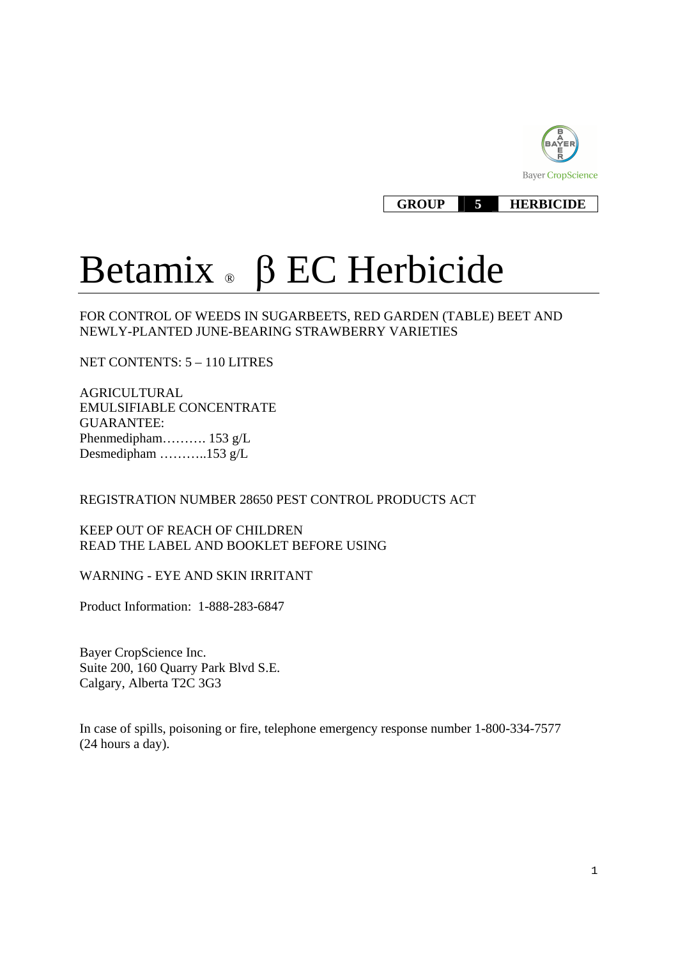

#### **GROUP 5 HERBICIDE**

# Betamix  $\triangle$   $\beta$  EC Herbicide

FOR CONTROL OF WEEDS IN SUGARBEETS, RED GARDEN (TABLE) BEET AND NEWLY-PLANTED JUNE-BEARING STRAWBERRY VARIETIES

NET CONTENTS: 5 – 110 LITRES

AGRICULTURAL EMULSIFIABLE CONCENTRATE GUARANTEE: Phenmedipham………. 153 g/L Desmedipham ………..153 g/L

REGISTRATION NUMBER 28650 PEST CONTROL PRODUCTS ACT

KEEP OUT OF REACH OF CHILDREN READ THE LABEL AND BOOKLET BEFORE USING

WARNING - EYE AND SKIN IRRITANT

Product Information: 1-888-283-6847

Bayer CropScience Inc. Suite 200, 160 Quarry Park Blvd S.E. Calgary, Alberta T2C 3G3

In case of spills, poisoning or fire, telephone emergency response number 1-800-334-7577 (24 hours a day).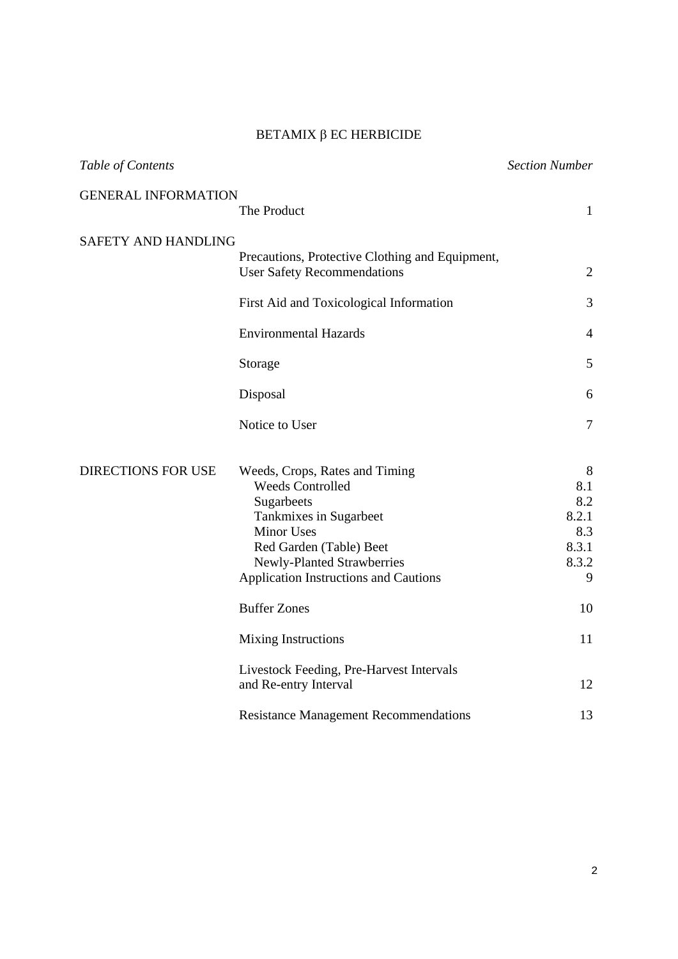#### $BETAMIX$   $\beta$  EC HERBICIDE

| Table of Contents          |                                                                   | <b>Section Number</b> |
|----------------------------|-------------------------------------------------------------------|-----------------------|
| <b>GENERAL INFORMATION</b> | The Product                                                       | $\mathbf{1}$          |
| <b>SAFETY AND HANDLING</b> | Precautions, Protective Clothing and Equipment,                   |                       |
|                            | <b>User Safety Recommendations</b>                                | $\overline{2}$        |
|                            | First Aid and Toxicological Information                           | 3                     |
|                            | <b>Environmental Hazards</b>                                      | $\overline{4}$        |
|                            | Storage                                                           | 5                     |
|                            | Disposal                                                          | 6                     |
|                            | Notice to User                                                    | $\overline{7}$        |
| <b>DIRECTIONS FOR USE</b>  | Weeds, Crops, Rates and Timing<br><b>Weeds Controlled</b>         | 8<br>8.1              |
|                            | Sugarbeets                                                        | 8.2                   |
|                            | Tankmixes in Sugarbeet<br><b>Minor Uses</b>                       | 8.2.1<br>8.3          |
|                            | Red Garden (Table) Beet                                           | 8.3.1                 |
|                            | Newly-Planted Strawberries                                        | 8.3.2                 |
|                            | <b>Application Instructions and Cautions</b>                      | 9                     |
|                            | <b>Buffer Zones</b>                                               | 10                    |
|                            | <b>Mixing Instructions</b>                                        | 11                    |
|                            | Livestock Feeding, Pre-Harvest Intervals<br>and Re-entry Interval | 12                    |
|                            | <b>Resistance Management Recommendations</b>                      | 13                    |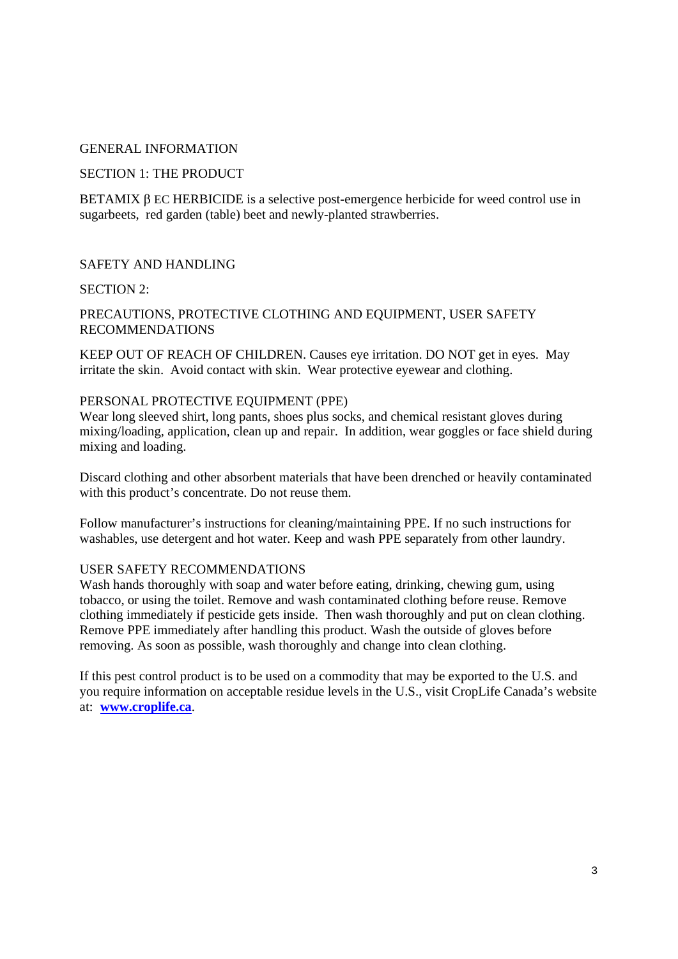#### GENERAL INFORMATION

#### SECTION 1: THE PRODUCT

BETAMIX  $\beta$  EC HERBICIDE is a selective post-emergence herbicide for weed control use in sugarbeets, red garden (table) beet and newly-planted strawberries.

#### SAFETY AND HANDLING

#### SECTION 2:

#### PRECAUTIONS, PROTECTIVE CLOTHING AND EQUIPMENT, USER SAFETY RECOMMENDATIONS

KEEP OUT OF REACH OF CHILDREN. Causes eye irritation. DO NOT get in eyes. May irritate the skin. Avoid contact with skin. Wear protective eyewear and clothing.

#### PERSONAL PROTECTIVE EQUIPMENT (PPE)

Wear long sleeved shirt, long pants, shoes plus socks, and chemical resistant gloves during mixing/loading, application, clean up and repair. In addition, wear goggles or face shield during mixing and loading.

Discard clothing and other absorbent materials that have been drenched or heavily contaminated with this product's concentrate. Do not reuse them.

Follow manufacturer's instructions for cleaning/maintaining PPE. If no such instructions for washables, use detergent and hot water. Keep and wash PPE separately from other laundry.

#### USER SAFETY RECOMMENDATIONS

Wash hands thoroughly with soap and water before eating, drinking, chewing gum, using tobacco, or using the toilet. Remove and wash contaminated clothing before reuse. Remove clothing immediately if pesticide gets inside. Then wash thoroughly and put on clean clothing. Remove PPE immediately after handling this product. Wash the outside of gloves before removing. As soon as possible, wash thoroughly and change into clean clothing.

If this pest control product is to be used on a commodity that may be exported to the U.S. and you require information on acceptable residue levels in the U.S., visit CropLife Canada's website at: **www.croplife.ca**.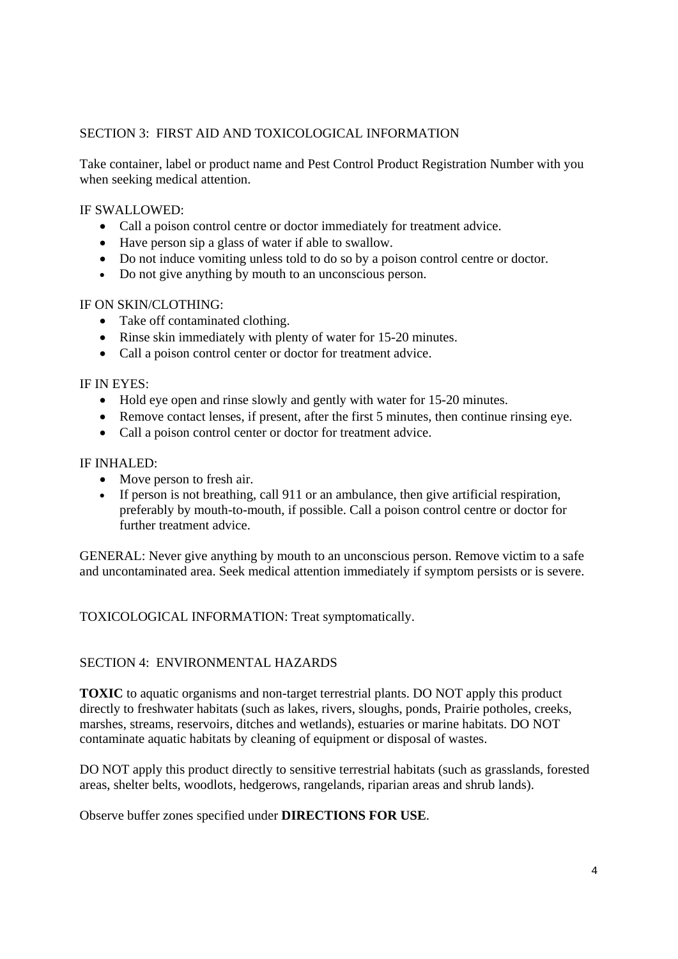## SECTION 3: FIRST AID AND TOXICOLOGICAL INFORMATION

Take container, label or product name and Pest Control Product Registration Number with you when seeking medical attention.

#### IF SWALLOWED:

- Call a poison control centre or doctor immediately for treatment advice.
- Have person sip a glass of water if able to swallow.
- Do not induce vomiting unless told to do so by a poison control centre or doctor.
- Do not give anything by mouth to an unconscious person.

## IF ON SKIN/CLOTHING:

- Take off contaminated clothing.
- Rinse skin immediately with plenty of water for 15-20 minutes.
- Call a poison control center or doctor for treatment advice.

#### IF IN EYES:

- Hold eye open and rinse slowly and gently with water for 15-20 minutes.
- Remove contact lenses, if present, after the first 5 minutes, then continue rinsing eye.
- Call a poison control center or doctor for treatment advice.

#### IF INHALED:

- Move person to fresh air.
- $\bullet$  If person is not breathing, call 911 or an ambulance, then give artificial respiration, preferably by mouth-to-mouth, if possible. Call a poison control centre or doctor for further treatment advice.

GENERAL: Never give anything by mouth to an unconscious person. Remove victim to a safe and uncontaminated area. Seek medical attention immediately if symptom persists or is severe.

TOXICOLOGICAL INFORMATION: Treat symptomatically.

#### SECTION 4: ENVIRONMENTAL HAZARDS

**TOXIC** to aquatic organisms and non-target terrestrial plants. DO NOT apply this product directly to freshwater habitats (such as lakes, rivers, sloughs, ponds, Prairie potholes, creeks, marshes, streams, reservoirs, ditches and wetlands), estuaries or marine habitats. DO NOT contaminate aquatic habitats by cleaning of equipment or disposal of wastes.

DO NOT apply this product directly to sensitive terrestrial habitats (such as grasslands, forested areas, shelter belts, woodlots, hedgerows, rangelands, riparian areas and shrub lands).

Observe buffer zones specified under **DIRECTIONS FOR USE**.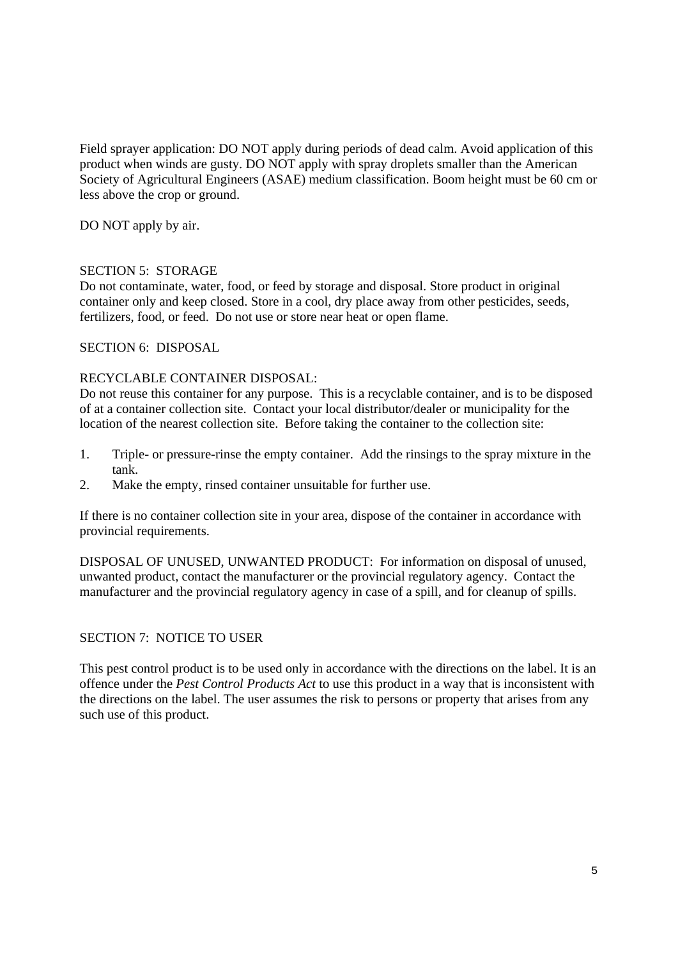Field sprayer application: DO NOT apply during periods of dead calm. Avoid application of this product when winds are gusty. DO NOT apply with spray droplets smaller than the American Society of Agricultural Engineers (ASAE) medium classification. Boom height must be 60 cm or less above the crop or ground.

DO NOT apply by air.

#### SECTION 5: STORAGE

Do not contaminate, water, food, or feed by storage and disposal. Store product in original container only and keep closed. Store in a cool, dry place away from other pesticides, seeds, fertilizers, food, or feed. Do not use or store near heat or open flame.

#### SECTION 6: DISPOSAL

#### RECYCLABLE CONTAINER DISPOSAL:

Do not reuse this container for any purpose. This is a recyclable container, and is to be disposed of at a container collection site. Contact your local distributor/dealer or municipality for the location of the nearest collection site. Before taking the container to the collection site:

- 1. Triple- or pressure-rinse the empty container. Add the rinsings to the spray mixture in the tank.
- 2. Make the empty, rinsed container unsuitable for further use.

If there is no container collection site in your area, dispose of the container in accordance with provincial requirements.

DISPOSAL OF UNUSED, UNWANTED PRODUCT: For information on disposal of unused, unwanted product, contact the manufacturer or the provincial regulatory agency. Contact the manufacturer and the provincial regulatory agency in case of a spill, and for cleanup of spills.

#### SECTION 7: NOTICE TO USER

This pest control product is to be used only in accordance with the directions on the label. It is an offence under the *Pest Control Products Act* to use this product in a way that is inconsistent with the directions on the label. The user assumes the risk to persons or property that arises from any such use of this product.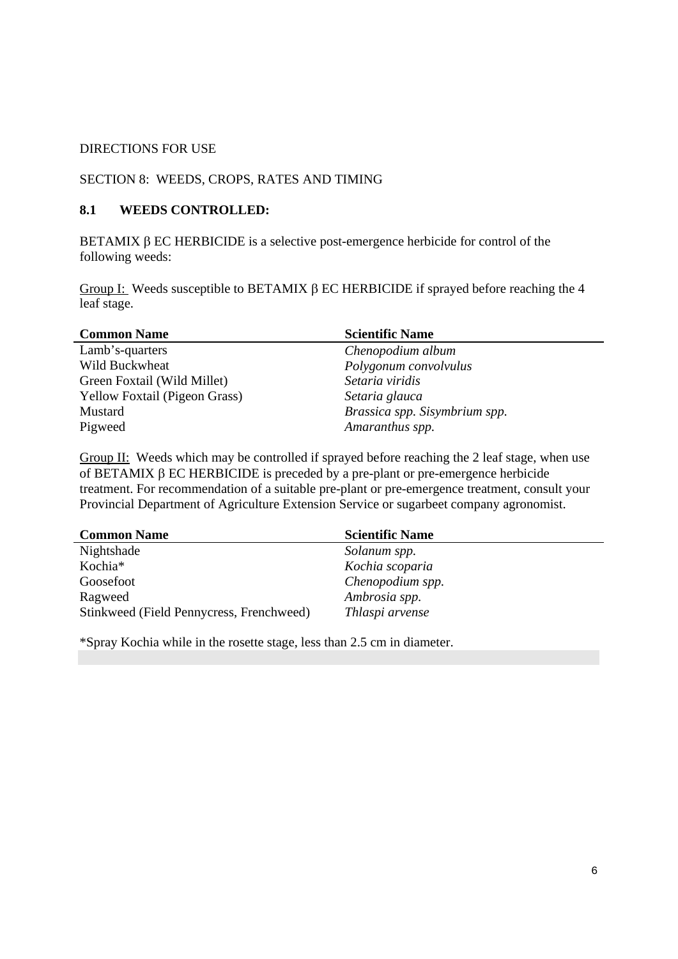#### DIRECTIONS FOR USE

#### SECTION 8: WEEDS, CROPS, RATES AND TIMING

#### **8.1 WEEDS CONTROLLED:**

BETAMIX  $\beta$  EC HERBICIDE is a selective post-emergence herbicide for control of the following weeds:

Group I: Weeds susceptible to BETAMIX  $\beta$  EC HERBICIDE if sprayed before reaching the 4 leaf stage.

| <b>Common Name</b>                   | <b>Scientific Name</b>        |
|--------------------------------------|-------------------------------|
| Lamb's-quarters                      | Chenopodium album             |
| Wild Buckwheat                       | Polygonum convolvulus         |
| Green Foxtail (Wild Millet)          | Setaria viridis               |
| <b>Yellow Foxtail (Pigeon Grass)</b> | Setaria glauca                |
| Mustard                              | Brassica spp. Sisymbrium spp. |
| Pigweed                              | Amaranthus spp.               |

Group II: Weeds which may be controlled if sprayed before reaching the 2 leaf stage, when use of BETAMIX  $\beta$  EC HERBICIDE is preceded by a pre-plant or pre-emergence herbicide treatment. For recommendation of a suitable pre-plant or pre-emergence treatment, consult your Provincial Department of Agriculture Extension Service or sugarbeet company agronomist.

| <b>Common Name</b>                       | <b>Scientific Name</b> |
|------------------------------------------|------------------------|
| Nightshade                               | Solanum spp.           |
| Kochia*                                  | Kochia scoparia        |
| Goosefoot                                | Chenopodium spp.       |
| Ragweed                                  | Ambrosia spp.          |
| Stinkweed (Field Pennycress, Frenchweed) | Thlaspi arvense        |

\*Spray Kochia while in the rosette stage, less than 2.5 cm in diameter.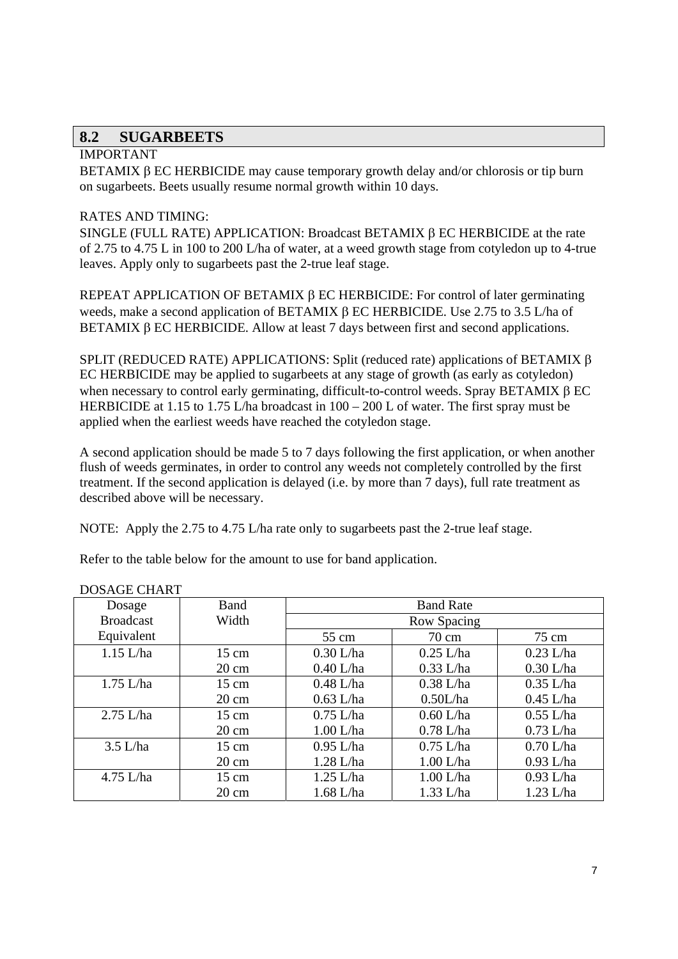## **8.2 SUGARBEETS**

## IMPORTANT

BETAMIX B EC HERBICIDE may cause temporary growth delay and/or chlorosis or tip burn on sugarbeets. Beets usually resume normal growth within 10 days.

## RATES AND TIMING:

SINGLE (FULL RATE) APPLICATION: Broadcast BETAMIX  $\beta$  EC HERBICIDE at the rate of 2.75 to 4.75 L in 100 to 200 L/ha of water, at a weed growth stage from cotyledon up to 4-true leaves. Apply only to sugarbeets past the 2-true leaf stage.

REPEAT APPLICATION OF BETAMIX  $\beta$  EC HERBICIDE: For control of later germinating weeds, make a second application of BETAMIX  $\beta$  EC HERBICIDE. Use 2.75 to 3.5 L/ha of BETAMIX  $\beta$  EC HERBICIDE. Allow at least 7 days between first and second applications.

SPLIT (REDUCED RATE) APPLICATIONS: Split (reduced rate) applications of BETAMIX  $\beta$ EC HERBICIDE may be applied to sugarbeets at any stage of growth (as early as cotyledon) when necessary to control early germinating, difficult-to-control weeds. Spray BETAMIX  $\beta$  EC HERBICIDE at 1.15 to 1.75 L/ha broadcast in  $100 - 200$  L of water. The first spray must be applied when the earliest weeds have reached the cotyledon stage.

A second application should be made 5 to 7 days following the first application, or when another flush of weeds germinates, in order to control any weeds not completely controlled by the first treatment. If the second application is delayed (i.e. by more than 7 days), full rate treatment as described above will be necessary.

NOTE: Apply the 2.75 to 4.75 L/ha rate only to sugarbeets past the 2-true leaf stage.

Refer to the table below for the amount to use for band application.

| Dosage           | Band            | <b>Band Rate</b>                  |             |             |  |
|------------------|-----------------|-----------------------------------|-------------|-------------|--|
| <b>Broadcast</b> | Width           | Row Spacing                       |             |             |  |
| Equivalent       |                 | $70 \text{ cm}$<br>75 cm<br>55 cm |             |             |  |
| $1.15$ L/ha      | $15 \text{ cm}$ | $0.30$ L/ha                       | $0.25$ L/ha |             |  |
|                  | $20 \text{ cm}$ | $0.40$ L/ha                       | $0.33$ L/ha | $0.30$ L/ha |  |
| $1.75$ L/ha      | $15 \text{ cm}$ | $0.48$ L/ha                       | $0.38$ L/ha | $0.35$ L/ha |  |
|                  | $20 \text{ cm}$ | $0.63$ L/ha                       | 0.50L/ha    | $0.45$ L/ha |  |
| $2.75$ L/ha      | $15 \text{ cm}$ | $0.75$ L/ha<br>$0.60$ L/ha        |             | $0.55$ L/ha |  |
|                  | $20 \text{ cm}$ | $1.00$ L/ha                       | $0.78$ L/ha | $0.73$ L/ha |  |
| $3.5$ L/ha       | $15 \text{ cm}$ | $0.95$ L/ha                       | $0.75$ L/ha | $0.70$ L/ha |  |
|                  | $20 \text{ cm}$ | 1.28 L/ha                         | $1.00$ L/ha | $0.93$ L/ha |  |
| $4.75$ L/ha      | $15 \text{ cm}$ | $1.25$ L/ha                       | $1.00$ L/ha | $0.93$ L/ha |  |
|                  | $20 \text{ cm}$ | 1.68 L/ha                         | $1.33$ L/ha | $1.23$ L/ha |  |

DOSAGE CHART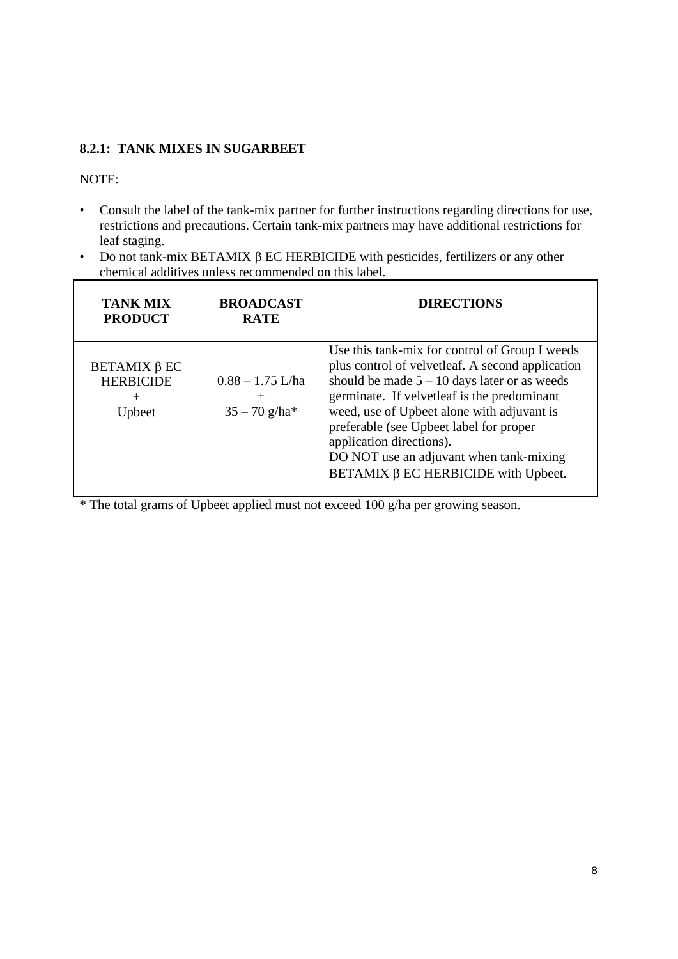## **8.2.1: TANK MIXES IN SUGARBEET**

#### NOTE:

- Consult the label of the tank-mix partner for further instructions regarding directions for use, restrictions and precautions. Certain tank-mix partners may have additional restrictions for leaf staging.
- Do not tank-mix BETAMIX  $\beta$  EC HERBICIDE with pesticides, fertilizers or any other chemical additives unless recommended on this label.

| <b>TANK MIX</b><br><b>PRODUCT</b>                                           | <b>BROADCAST</b><br><b>RATE</b>                             | <b>DIRECTIONS</b>                                                                                                                                                                                                                                                                                                                                                                                                |
|-----------------------------------------------------------------------------|-------------------------------------------------------------|------------------------------------------------------------------------------------------------------------------------------------------------------------------------------------------------------------------------------------------------------------------------------------------------------------------------------------------------------------------------------------------------------------------|
| <b>BETAMIX <math>\beta</math> EC</b><br><b>HERBICIDE</b><br>$\pm$<br>Upbeet | $0.88 - 1.75$ L/ha<br>$^{+}$<br>$35 - 70$ g/ha <sup>*</sup> | Use this tank-mix for control of Group I weeds<br>plus control of velvetleaf. A second application<br>should be made $5 - 10$ days later or as weeds<br>germinate. If velvetleaf is the predominant<br>weed, use of Upbeet alone with adjuvant is<br>preferable (see Upbeet label for proper<br>application directions).<br>DO NOT use an adjuvant when tank-mixing<br>BETAMIX $\beta$ EC HERBICIDE with Upbeet. |

\* The total grams of Upbeet applied must not exceed 100 g/ha per growing season.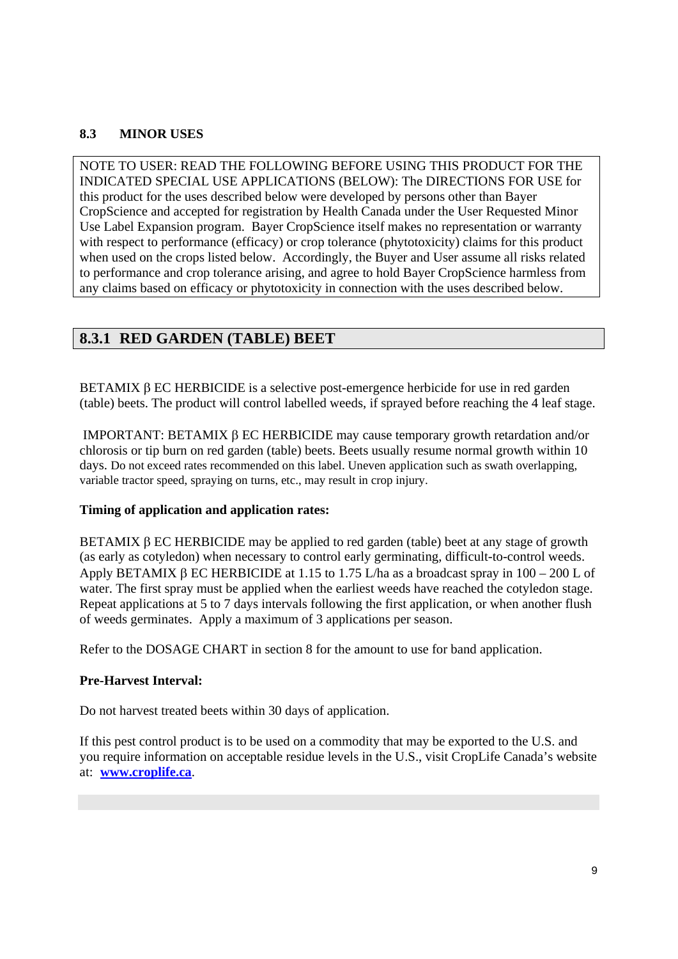## **8.3 MINOR USES**

NOTE TO USER: READ THE FOLLOWING BEFORE USING THIS PRODUCT FOR THE INDICATED SPECIAL USE APPLICATIONS (BELOW): The DIRECTIONS FOR USE for this product for the uses described below were developed by persons other than Bayer CropScience and accepted for registration by Health Canada under the User Requested Minor Use Label Expansion program. Bayer CropScience itself makes no representation or warranty with respect to performance (efficacy) or crop tolerance (phytotoxicity) claims for this product when used on the crops listed below. Accordingly, the Buyer and User assume all risks related to performance and crop tolerance arising, and agree to hold Bayer CropScience harmless from any claims based on efficacy or phytotoxicity in connection with the uses described below.

# **8.3.1 RED GARDEN (TABLE) BEET**

BETAMIX  $\beta$  EC HERBICIDE is a selective post-emergence herbicide for use in red garden (table) beets. The product will control labelled weeds, if sprayed before reaching the 4 leaf stage.

IMPORTANT: BETAMIX  $\beta$  EC HERBICIDE may cause temporary growth retardation and/or chlorosis or tip burn on red garden (table) beets. Beets usually resume normal growth within 10 days. Do not exceed rates recommended on this label. Uneven application such as swath overlapping, variable tractor speed, spraying on turns, etc., may result in crop injury.

#### **Timing of application and application rates:**

BETAMIX  $\beta$  EC HERBICIDE may be applied to red garden (table) beet at any stage of growth (as early as cotyledon) when necessary to control early germinating, difficult-to-control weeds. Apply BETAMIX  $\beta$  EC HERBICIDE at 1.15 to 1.75 L/ha as a broadcast spray in 100 – 200 L of water. The first spray must be applied when the earliest weeds have reached the cotyledon stage. Repeat applications at 5 to 7 days intervals following the first application, or when another flush of weeds germinates. Apply a maximum of 3 applications per season.

Refer to the DOSAGE CHART in section 8 for the amount to use for band application.

#### **Pre-Harvest Interval:**

Do not harvest treated beets within 30 days of application.

If this pest control product is to be used on a commodity that may be exported to the U.S. and you require information on acceptable residue levels in the U.S., visit CropLife Canada's website at: **www.croplife.ca**.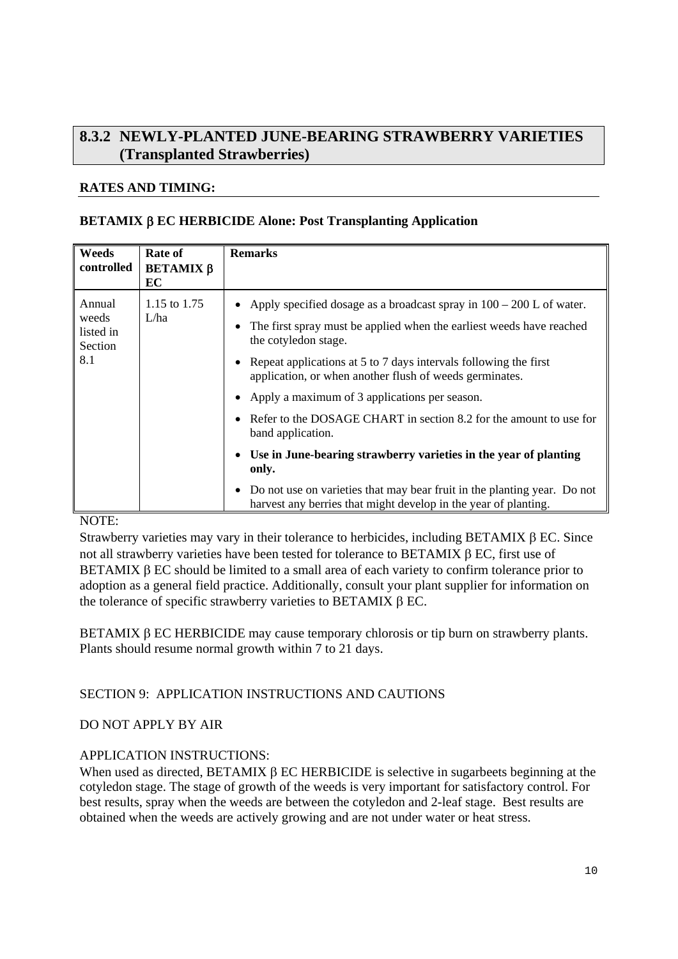# **8.3.2 NEWLY-PLANTED JUNE-BEARING STRAWBERRY VARIETIES (Transplanted Strawberries)**

## **RATES AND TIMING:**

## **BETAMIX EC HERBICIDE Alone: Post Transplanting Application**

| Weeds                                          | Rate of                | <b>Remarks</b>                                                                                                                                                                                                                                                                                                                                                                                                                                                                                                                                                                                                                |
|------------------------------------------------|------------------------|-------------------------------------------------------------------------------------------------------------------------------------------------------------------------------------------------------------------------------------------------------------------------------------------------------------------------------------------------------------------------------------------------------------------------------------------------------------------------------------------------------------------------------------------------------------------------------------------------------------------------------|
| controlled                                     | <b>ΒΕΤΑΜΙΧ β</b><br>EC |                                                                                                                                                                                                                                                                                                                                                                                                                                                                                                                                                                                                                               |
| Annual<br>weeds<br>listed in<br>Section<br>8.1 | 1.15 to 1.75<br>L/ha   | • Apply specified dosage as a broadcast spray in $100 - 200$ L of water.<br>The first spray must be applied when the earliest weeds have reached<br>the cotyledon stage.<br>• Repeat applications at 5 to 7 days intervals following the first<br>application, or when another flush of weeds germinates.<br>• Apply a maximum of 3 applications per season.<br>Refer to the DOSAGE CHART in section 8.2 for the amount to use for<br>band application.<br>Use in June-bearing strawberry varieties in the year of planting<br>only.<br>Do not use on varieties that may bear fruit in the planting year. Do not<br>$\bullet$ |
|                                                |                        | harvest any berries that might develop in the year of planting.                                                                                                                                                                                                                                                                                                                                                                                                                                                                                                                                                               |

## NOTE:

Strawberry varieties may vary in their tolerance to herbicides, including BETAMIX  $\beta$  EC. Since not all strawberry varieties have been tested for tolerance to BETAMIX  $\beta$  EC, first use of BETAMIX  $\beta$  EC should be limited to a small area of each variety to confirm tolerance prior to adoption as a general field practice. Additionally, consult your plant supplier for information on the tolerance of specific strawberry varieties to BETAMIX  $\beta$  EC.

BETAMIX  $\beta$  EC HERBICIDE may cause temporary chlorosis or tip burn on strawberry plants. Plants should resume normal growth within 7 to 21 days.

## SECTION 9: APPLICATION INSTRUCTIONS AND CAUTIONS

#### DO NOT APPLY BY AIR

#### APPLICATION INSTRUCTIONS:

When used as directed, BETAMIX  $\beta$  EC HERBICIDE is selective in sugarbeets beginning at the cotyledon stage. The stage of growth of the weeds is very important for satisfactory control. For best results, spray when the weeds are between the cotyledon and 2-leaf stage. Best results are obtained when the weeds are actively growing and are not under water or heat stress.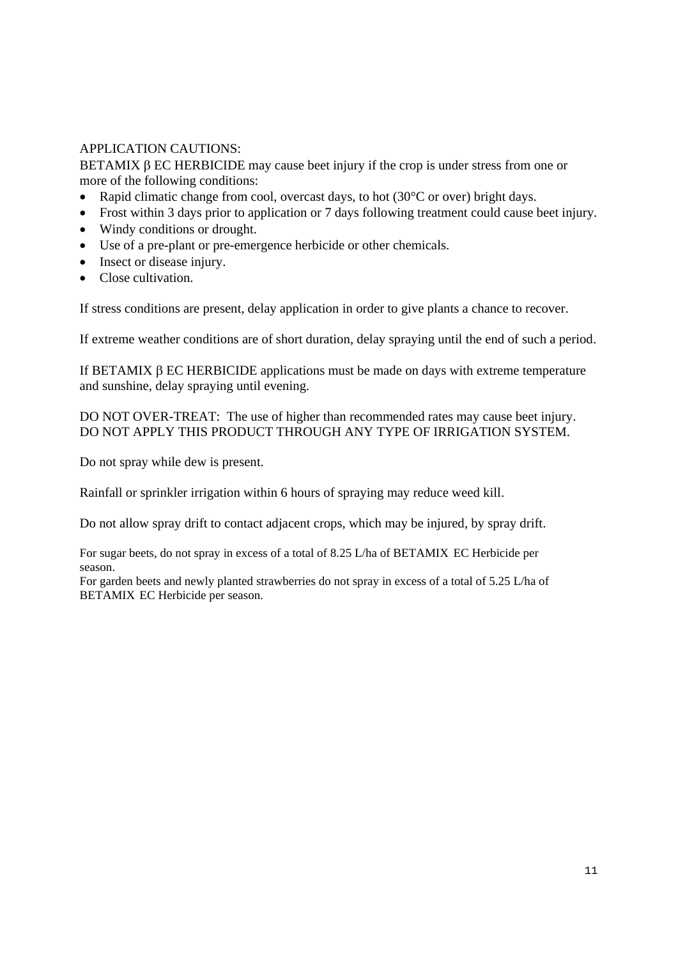## APPLICATION CAUTIONS:

BETAMIX  $\beta$  EC HERBICIDE may cause beet injury if the crop is under stress from one or more of the following conditions:

- Rapid climatic change from cool, overcast days, to hot  $(30^{\circ}$ C or over) bright days.
- Frost within 3 days prior to application or 7 days following treatment could cause beet injury.
- Windy conditions or drought.
- Use of a pre-plant or pre-emergence herbicide or other chemicals.
- Insect or disease injury.
- Close cultivation.

If stress conditions are present, delay application in order to give plants a chance to recover.

If extreme weather conditions are of short duration, delay spraying until the end of such a period.

If BETAMIX  $\beta$  EC HERBICIDE applications must be made on days with extreme temperature and sunshine, delay spraying until evening.

DO NOT OVER-TREAT: The use of higher than recommended rates may cause beet injury. DO NOT APPLY THIS PRODUCT THROUGH ANY TYPE OF IRRIGATION SYSTEM.

Do not spray while dew is present.

Rainfall or sprinkler irrigation within 6 hours of spraying may reduce weed kill.

Do not allow spray drift to contact adjacent crops, which may be injured, by spray drift.

For sugar beets, do not spray in excess of a total of 8.25 L/ha of BETAMIX EC Herbicide per season.

For garden beets and newly planted strawberries do not spray in excess of a total of 5.25 L/ha of BETAMIX EC Herbicide per season.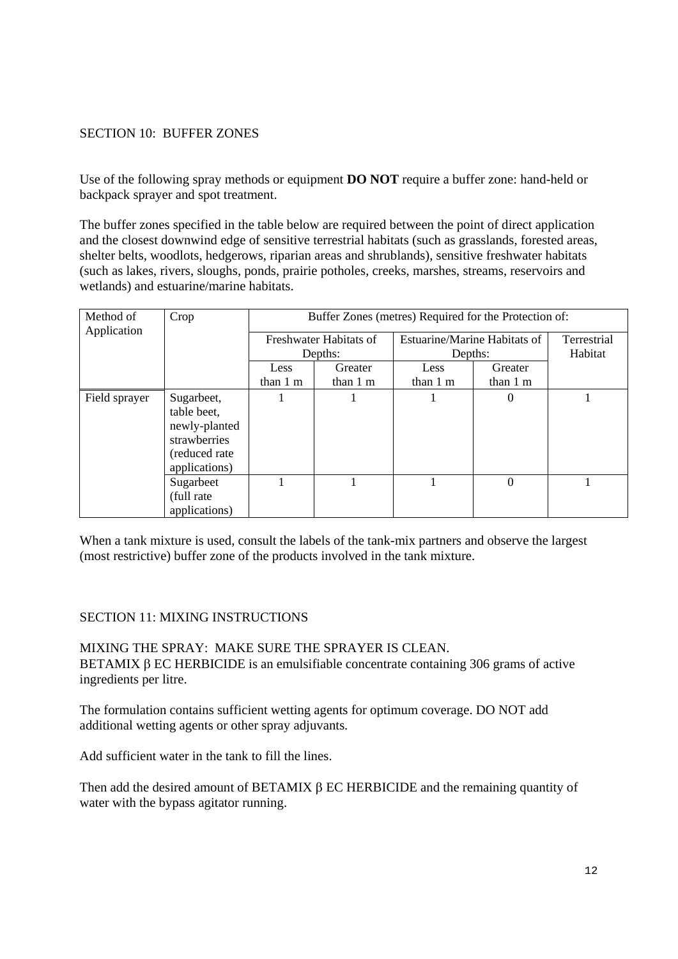## SECTION 10: BUFFER ZONES

Use of the following spray methods or equipment **DO NOT** require a buffer zone: hand-held or backpack sprayer and spot treatment.

The buffer zones specified in the table below are required between the point of direct application and the closest downwind edge of sensitive terrestrial habitats (such as grasslands, forested areas, shelter belts, woodlots, hedgerows, riparian areas and shrublands), sensitive freshwater habitats (such as lakes, rivers, sloughs, ponds, prairie potholes, creeks, marshes, streams, reservoirs and wetlands) and estuarine/marine habitats.

| Method of<br>Application | Crop                                            | Buffer Zones (metres) Required for the Protection of: |          |                              |                |             |
|--------------------------|-------------------------------------------------|-------------------------------------------------------|----------|------------------------------|----------------|-------------|
|                          |                                                 | Freshwater Habitats of                                |          | Estuarine/Marine Habitats of |                | Terrestrial |
|                          |                                                 |                                                       | Depths:  | Depths:                      |                | Habitat     |
|                          |                                                 | Less                                                  | Greater  | Less                         | Greater        |             |
|                          |                                                 | than $1 \text{ m}$                                    | than 1 m | than $1 \text{ m}$           | than 1 m       |             |
| Field sprayer            | Sugarbeet,<br>table beet,                       |                                                       |          |                              | $\overline{0}$ |             |
|                          | newly-planted<br>strawberries<br>(reduced rate) |                                                       |          |                              |                |             |
|                          | applications)                                   |                                                       |          |                              |                |             |
|                          | Sugarbeet<br>(full rate)                        |                                                       |          |                              | 0              |             |
|                          | applications)                                   |                                                       |          |                              |                |             |

When a tank mixture is used, consult the labels of the tank-mix partners and observe the largest (most restrictive) buffer zone of the products involved in the tank mixture.

#### SECTION 11: MIXING INSTRUCTIONS

MIXING THE SPRAY: MAKE SURE THE SPRAYER IS CLEAN. BETAMIX  $\beta$  EC HERBICIDE is an emulsifiable concentrate containing 306 grams of active ingredients per litre.

The formulation contains sufficient wetting agents for optimum coverage. DO NOT add additional wetting agents or other spray adjuvants.

Add sufficient water in the tank to fill the lines.

Then add the desired amount of BETAMIX  $\beta$  EC HERBICIDE and the remaining quantity of water with the bypass agitator running.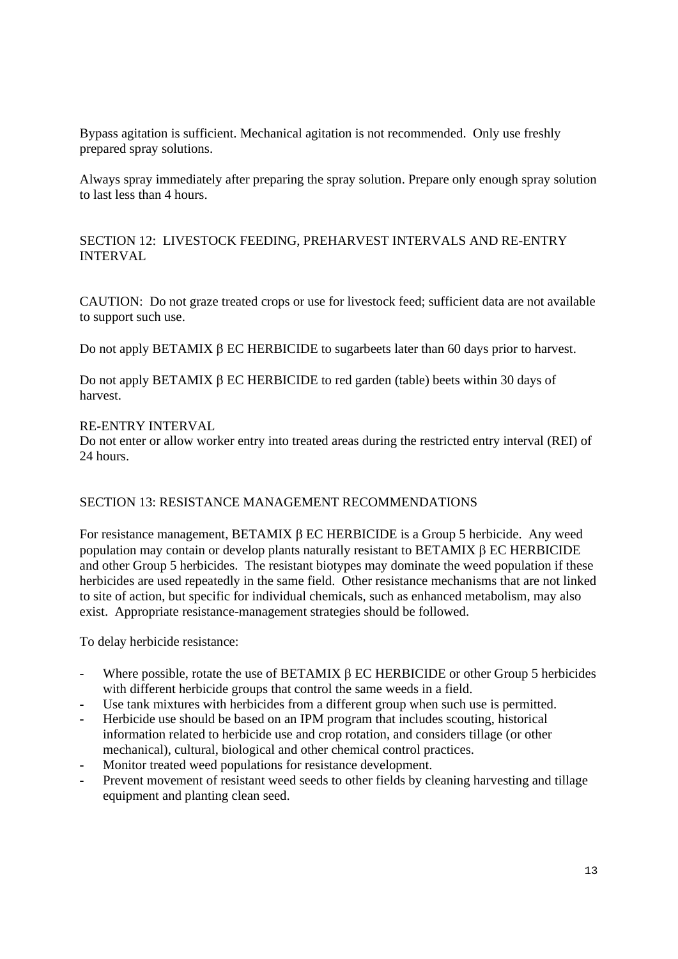Bypass agitation is sufficient. Mechanical agitation is not recommended. Only use freshly prepared spray solutions.

Always spray immediately after preparing the spray solution. Prepare only enough spray solution to last less than 4 hours.

SECTION 12: LIVESTOCK FEEDING, PREHARVEST INTERVALS AND RE-ENTRY INTERVAL

CAUTION: Do not graze treated crops or use for livestock feed; sufficient data are not available to support such use.

Do not apply BETAMIX B EC HERBICIDE to sugarbeets later than 60 days prior to harvest.

Do not apply BETAMIX  $\beta$  EC HERBICIDE to red garden (table) beets within 30 days of harvest.

#### RE-ENTRY INTERVAL

Do not enter or allow worker entry into treated areas during the restricted entry interval (REI) of 24 hours.

#### SECTION 13: RESISTANCE MANAGEMENT RECOMMENDATIONS

For resistance management, BETAMIX  $\beta$  EC HERBICIDE is a Group 5 herbicide. Any weed population may contain or develop plants naturally resistant to BETAMIX  $\beta$  EC HERBICIDE and other Group 5 herbicides. The resistant biotypes may dominate the weed population if these herbicides are used repeatedly in the same field. Other resistance mechanisms that are not linked to site of action, but specific for individual chemicals, such as enhanced metabolism, may also exist. Appropriate resistance-management strategies should be followed.

To delay herbicide resistance:

- Where possible, rotate the use of BETAMIX  $\beta$  EC HERBICIDE or other Group 5 herbicides with different herbicide groups that control the same weeds in a field.
- Use tank mixtures with herbicides from a different group when such use is permitted.
- **-** Herbicide use should be based on an IPM program that includes scouting, historical information related to herbicide use and crop rotation, and considers tillage (or other mechanical), cultural, biological and other chemical control practices.
- **-** Monitor treated weed populations for resistance development.
- **-** Prevent movement of resistant weed seeds to other fields by cleaning harvesting and tillage equipment and planting clean seed.